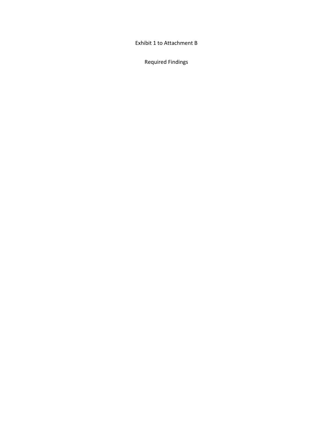Exhibit 1 to Attachment B

Required Findings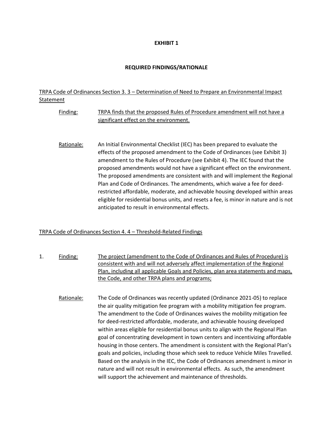#### **EXHIBIT 1**

#### **REQUIRED FINDINGS/RATIONALE**

### TRPA Code of Ordinances Section 3. 3 – Determination of Need to Prepare an Environmental Impact Statement

- Finding: TRPA finds that the proposed Rules of Procedure amendment will not have a significant effect on the environment.
- Rationale: An Initial Environmental Checklist (IEC) has been prepared to evaluate the effects of the proposed amendment to the Code of Ordinances (see Exhibit 3) amendment to the Rules of Procedure (see Exhibit 4). The IEC found that the proposed amendments would not have a significant effect on the environment. The proposed amendments are consistent with and will implement the Regional Plan and Code of Ordinances. The amendments, which waive a fee for deedrestricted affordable, moderate, and achievable housing developed within areas eligible for residential bonus units, and resets a fee, is minor in nature and is not anticipated to result in environmental effects.

#### TRPA Code of Ordinances Section 4. 4 – Threshold-Related Findings

- 1. Finding: The project (amendment to the Code of Ordinances and Rules of Procedure) is consistent with and will not adversely affect implementation of the Regional Plan, including all applicable Goals and Policies, plan area statements and maps, the Code, and other TRPA plans and programs;
	- Rationale: The Code of Ordinances was recently updated (Ordinance 2021-05) to replace the air quality mitigation fee program with a mobility mitigation fee program. The amendment to the Code of Ordinances waives the mobility mitigation fee for deed-restricted affordable, moderate, and achievable housing developed within areas eligible for residential bonus units to align with the Regional Plan goal of concentrating development in town centers and incentivizing affordable housing in those centers. The amendment is consistent with the Regional Plan's goals and policies, including those which seek to reduce Vehicle Miles Travelled. Based on the analysis in the IEC, the Code of Ordinances amendment is minor in nature and will not result in environmental effects. As such, the amendment will support the achievement and maintenance of thresholds.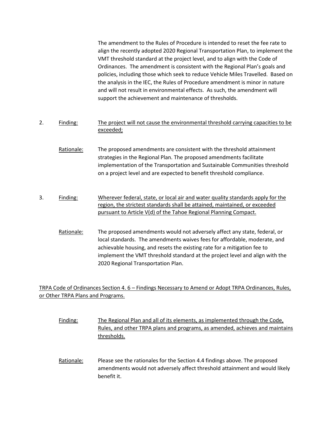The amendment to the Rules of Procedure is intended to reset the fee rate to align the recently adopted 2020 Regional Transportation Plan, to implement the VMT threshold standard at the project level, and to align with the Code of Ordinances. The amendment is consistent with the Regional Plan's goals and policies, including those which seek to reduce Vehicle Miles Travelled. Based on the analysis in the IEC, the Rules of Procedure amendment is minor in nature and will not result in environmental effects. As such, the amendment will support the achievement and maintenance of thresholds.

- 2. Finding: The project will not cause the environmental threshold carrying capacities to be exceeded;
	- Rationale: The proposed amendments are consistent with the threshold attainment strategies in the Regional Plan. The proposed amendments facilitate implementation of the Transportation and Sustainable Communities threshold on a project level and are expected to benefit threshold compliance.
- 3. Finding: Wherever federal, state, or local air and water quality standards apply for the region, the strictest standards shall be attained, maintained, or exceeded pursuant to Article V(d) of the Tahoe Regional Planning Compact.
	- Rationale: The proposed amendments would not adversely affect any state, federal, or local standards. The amendments waives fees for affordable, moderate, and achievable housing, and resets the existing rate for a mitigation fee to implement the VMT threshold standard at the project level and align with the 2020 Regional Transportation Plan.

## TRPA Code of Ordinances Section 4. 6 – Findings Necessary to Amend or Adopt TRPA Ordinances, Rules, or Other TRPA Plans and Programs.

- Finding: The Regional Plan and all of its elements, as implemented through the Code, Rules, and other TRPA plans and programs, as amended, achieves and maintains thresholds.
- Rationale: Please see the rationales for the Section 4.4 findings above. The proposed amendments would not adversely affect threshold attainment and would likely benefit it.